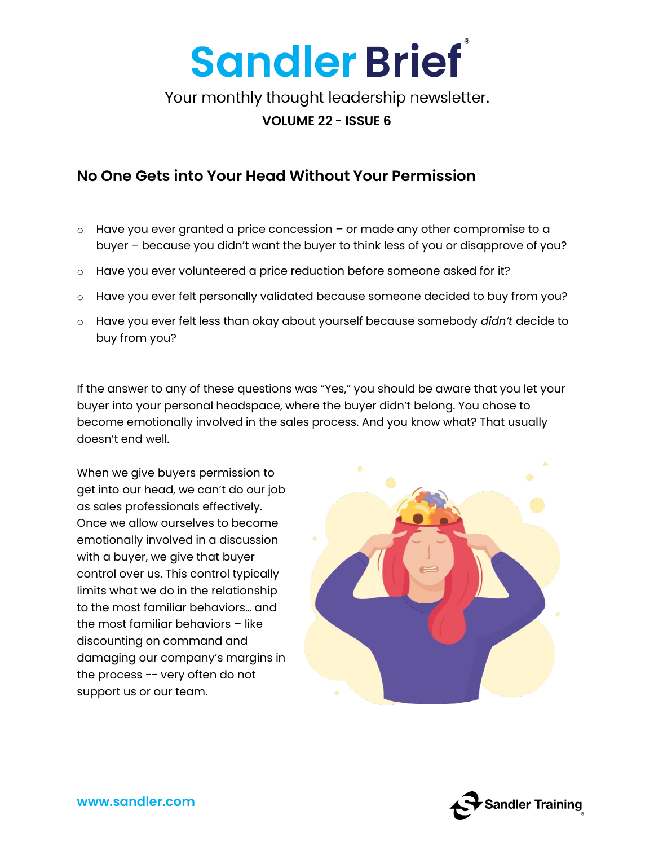

Your monthly thought leadership newsletter.

#### **VOLUME 22** - **ISSUE 6**

### **No One Gets into Your Head Without Your Permission**

- $\circ$  Have you ever granted a price concession or made any other compromise to a buyer – because you didn't want the buyer to think less of you or disapprove of you?
- $\circ$  Have you ever volunteered a price reduction before someone asked for it?
- o Have you ever felt personally validated because someone decided to buy from you?
- o Have you ever felt less than okay about yourself because somebody *didn't* decide to buy from you?

If the answer to any of these questions was "Yes," you should be aware that you let your buyer into your personal headspace, where the buyer didn't belong. You chose to become emotionally involved in the sales process. And you know what? That usually doesn't end well.

When we give buyers permission to get into our head, we can't do our job as sales professionals effectively. Once we allow ourselves to become emotionally involved in a discussion with a buyer, we give that buyer control over us. This control typically limits what we do in the relationship to the most familiar behaviors… and the most familiar behaviors – like discounting on command and damaging our company's margins in the process -- very often do not support us or our team.



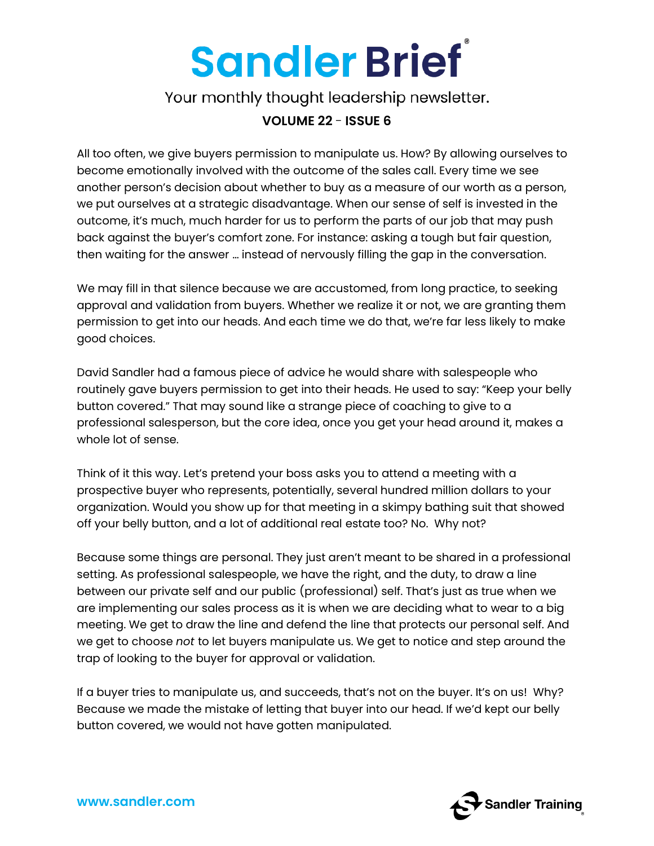# **Sandler Brief**

Your monthly thought leadership newsletter.

#### **VOLUME 22** - **ISSUE 6**

All too often, we give buyers permission to manipulate us. How? By allowing ourselves to become emotionally involved with the outcome of the sales call. Every time we see another person's decision about whether to buy as a measure of our worth as a person, we put ourselves at a strategic disadvantage. When our sense of self is invested in the outcome, it's much, much harder for us to perform the parts of our job that may push back against the buyer's comfort zone. For instance: asking a tough but fair question, then waiting for the answer … instead of nervously filling the gap in the conversation.

We may fill in that silence because we are accustomed, from long practice, to seeking approval and validation from buyers. Whether we realize it or not, we are granting them permission to get into our heads. And each time we do that, we're far less likely to make good choices.

David Sandler had a famous piece of advice he would share with salespeople who routinely gave buyers permission to get into their heads. He used to say: "Keep your belly button covered." That may sound like a strange piece of coaching to give to a professional salesperson, but the core idea, once you get your head around it, makes a whole lot of sense.

Think of it this way. Let's pretend your boss asks you to attend a meeting with a prospective buyer who represents, potentially, several hundred million dollars to your organization. Would you show up for that meeting in a skimpy bathing suit that showed off your belly button, and a lot of additional real estate too? No. Why not?

Because some things are personal. They just aren't meant to be shared in a professional setting. As professional salespeople, we have the right, and the duty, to draw a line between our private self and our public (professional) self. That's just as true when we are implementing our sales process as it is when we are deciding what to wear to a big meeting. We get to draw the line and defend the line that protects our personal self. And we get to choose *not* to let buyers manipulate us. We get to notice and step around the trap of looking to the buyer for approval or validation.

If a buyer tries to manipulate us, and succeeds, that's not on the buyer. It's on us! Why? Because we made the mistake of letting that buyer into our head. If we'd kept our belly button covered, we would not have gotten manipulated.